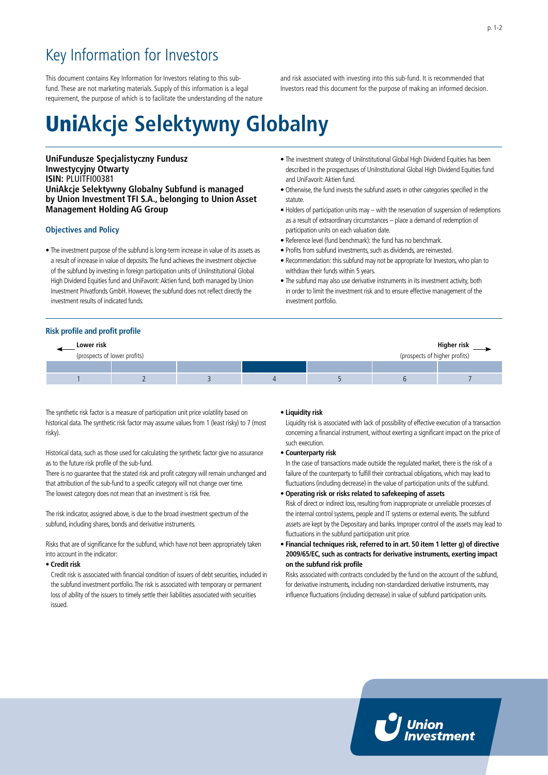## Key Information for Investors

This document contains Key Information for Investors relating to this subfund. These are not marketing materials. Supply of this information is a legal requirement, the purpose of which is to facilitate the understanding of the nature

and risk associated with investing into this sub-fund. It is recommended that Investors read this document for the purpose of making an informed decision.

# Uni**Akcje Selektywny Globalny**

**UniFundusze Specjalistyczny Fundusz Inwestycyjny Otwarty ISIN:** PLUITFI00381 **UniAkcje Selektywny Globalny Subfund is managed by Union Investment TFI S.A., belonging to Union Asset Management Holding AG Group**

### **Objectives and Policy**

- The investment purpose of the subfund is long-term increase in value of its assets as a result of increase in value of deposits. The fund achieves the investment objective of the subfund by investing in foreign participation units of UniInstitutional Global High Dividend Equities fund and UniFavorit: Aktien fund, both managed by Union Investment Privatfonds GmbH. However, the subfund does not reflect directly the investment results of indicated funds.
- The investment strategy of UniInstitutional Global High Dividend Equities has been described in the prospectuses of UniInstitutional Global High Dividend Equities fund and UniFavorit: Aktien fund.
- Otherwise, the fund invests the subfund assets in other categories specified in the statute.
- Holders of participation units may with the reservation of suspension of redemptions as a result of extraordinary circumstances – place a demand of redemption of participation units on each valuation date.
- Reference level (fund benchmark): the fund has no benchmark.
- Profits from subfund investments, such as dividends, are reinvested.
- Recommendation: this subfund may not be appropriate for Investors, who plan to withdraw their funds within 5 years.
- The subfund may also use derivative instruments in its investment activity, both in order to limit the investment risk and to ensure effective management of the investment portfolio.

### **Risk profile and profit profile**

| Lower risk                   |  |  |  |  |  | Higher risk                   |
|------------------------------|--|--|--|--|--|-------------------------------|
| (prospects of lower profits) |  |  |  |  |  | (prospects of higher profits) |
|                              |  |  |  |  |  |                               |
|                              |  |  |  |  |  |                               |

The synthetic risk factor is a measure of participation unit price volatility based on historical data. The synthetic risk factor may assume values from 1 (least risky) to 7 (most risky).

Historical data, such as those used for calculating the synthetic factor give no assurance as to the future risk profile of the sub-fund.

There is no guarantee that the stated risk and profit category will remain unchanged and that attribution of the sub-fund to a specific category will not change over time. The lowest category does not mean that an investment is risk free.

The risk indicator, assigned above, is due to the broad investment spectrum of the subfund, including shares, bonds and derivative instruments.

Risks that are of significance for the subfund, which have not been appropriately taken into account in the indicator:

### • **Credit risk**

Credit risk is associated with financial condition of issuers of debt securities, included in the subfund investment portfolio. The risk is associated with temporary or permanent loss of ability of the issuers to timely settle their liabilities associated with securities issued.

#### • **Liquidity risk**

Liquidity risk is associated with lack of possibility of effective execution of a transaction concerning a financial instrument, without exerting a significant impact on the price of such execution.

• **Counterparty risk** 

In the case of transactions made outside the regulated market, there is the risk of a failure of the counterparty to fulfill their contractual obligations, which may lead to fluctuations (including decrease) in the value of participation units of the subfund.

- **Operating risk or risks related to safekeeping of assets** Risk of direct or indirect loss, resulting from inappropriate or unreliable processes of the internal control systems, people and IT systems or external events. The subfund assets are kept by the Depositary and banks. Improper control of the assets may lead to fluctuations in the subfund participation unit price.
- **Financial techniques risk, referred to in art. 50 item 1 letter g) of directive 2009/65/EC, such as contracts for derivative instruments, exerting impact on the subfund risk profile**

Risks associated with contracts concluded by the fund on the account of the subfund, for derivative instruments, including non-standardized derivative instruments, may influence fluctuations (including decrease) in value of subfund participation units.